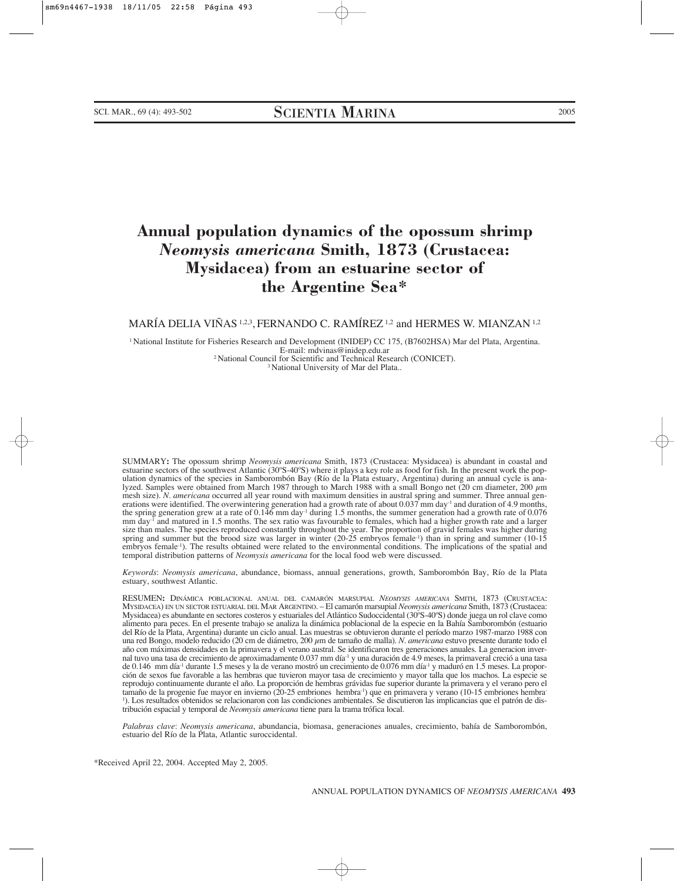# **Annual population dynamics of the opossum shrimp** *Neomysis americana* **Smith, 1873 (Crustacea: Mysidacea) from an estuarine sector of the Argentine Sea\***

# MARÍA DELIA VIÑAS <sup>1,2,3</sup>, FERNANDO C. RAMÍREZ <sup>1,2</sup> and HERMES W. MIANZAN <sup>1,2</sup>

1 National Institute for Fisheries Research and Development (INIDEP) CC 175, (B7602HSA) Mar del Plata, Argentina. <sup>2</sup> National Council for Scientific and Technical Research (CONICET).<br><sup>3</sup> National University of Mar del Plata..

SUMMARY**:** The opossum shrimp *Neomysis americana* Smith, 1873 (Crustacea: Mysidacea) is abundant in coastal and ulation dynamics of the species in Samborombón Bay (Río de la Plata estuary, Argentina) during an annual cycle is analyzed. Samples were obtained from March 1987 through to March 1988 with a small Bongo net (20 cm diameter, 200 µm mesh size). *N. americana* occurred all year round with maximum densities in austral spring and summer. Three annual generations were identified. The overwintering generation had a growth rate of about  $0.037$  mm day $^1$  and duration of 4.9 months, the spring generation grew at a rate of  $0.146$  mm day<sup>-1</sup> during 1.5 months, the summer generation had a growth rate of 0.076 mm day-1 and matured in 1.5 months. The sex ratio was favourable to females, which had a higher growth rate and a larger size than males. The species reproduced constantly throughout the year. The proportion of gravid females was higher during spring and summer but the brood size was larger in winter (20-25 embryos female-1) than in spring and summer (10-15 embryos female-1). The results obtained were related to the environmental conditions. The implications of the spatial and temporal distribution patterns of *Neomysis americana* for the local food web were discussed.

*Keywords*: *Neomysis americana*, abundance, biomass, annual generations, growth, Samborombón Bay, Río de la Plata estuary, southwest Atlantic.

RESUMEN**:** DINÁMICA POBLACIONAL ANUAL DEL CAMARÓN MARSUPIAL *NEOMYSIS AMERICANA* SMITH, 1873 (CRUSTACEA: MYSIDACEA) EN UN SECTOR ESTUARIAL DEL MAR ARGENTINO. – El camarón marsupial *Neomysis americana* Smith, 1873 (Crustacea: Mysidacea) es abundante en sectores costeros y estuariales del Atlántico Sudoccidental (30ºS-40ºS) donde juega un rol clave como alimento para peces. En el presente trabajo se analiza la dinámica poblacional de la especie en la Bahía Samborombón (estuario del Río de la Plata, Argentina) durante un ciclo anual. Las muestras se obtuvieron durante el período marzo 1987-marzo 1988 con una red Bongo, modelo reducido (20 cm de diámetro, 200 µm de tamaño de malla). *N. americana* estuvo presente durante todo el año con máximas densidades en la primavera y el verano austral. Se identificaron tres generaciones anuales. La generacion invernal tuvo una tasa de crecimiento de aproximadamente 0.037 mm día-1 y una duración de 4.9 meses, la primaveral creció a una tasa de 0.146 mm día-1 durante 1.5 meses y la de verano mostró un crecimiento de 0.076 mm día-1 y maduró en 1.5 meses. La proporción de sexos fue favorable a las hembras que tuvieron mayor tasa de crecimiento y mayor talla que los machos. La especie se reprodujo continuamente durante el año. La proporción de hembras grávidas fue superior durante la primavera y el verano pero el tamaño de la progenie fue mayor en invierno (20-25 embriones hembra-1) que en primavera y verano (10-15 embriones hembra-1 ). Los resultados obtenidos se relacionaron con las condiciones ambientales. Se discutieron las implicancias que el patrón de distribución espacial y temporal de *Neomysis americana* tiene para la trama trófica local.

*Palabras clave*: *Neomysis americana*, abundancia, biomasa, generaciones anuales, crecimiento, bahía de Samborombón, estuario del Río de la Plata, Atlantic suroccidental.

\*Received April 22, 2004. Accepted May 2, 2005.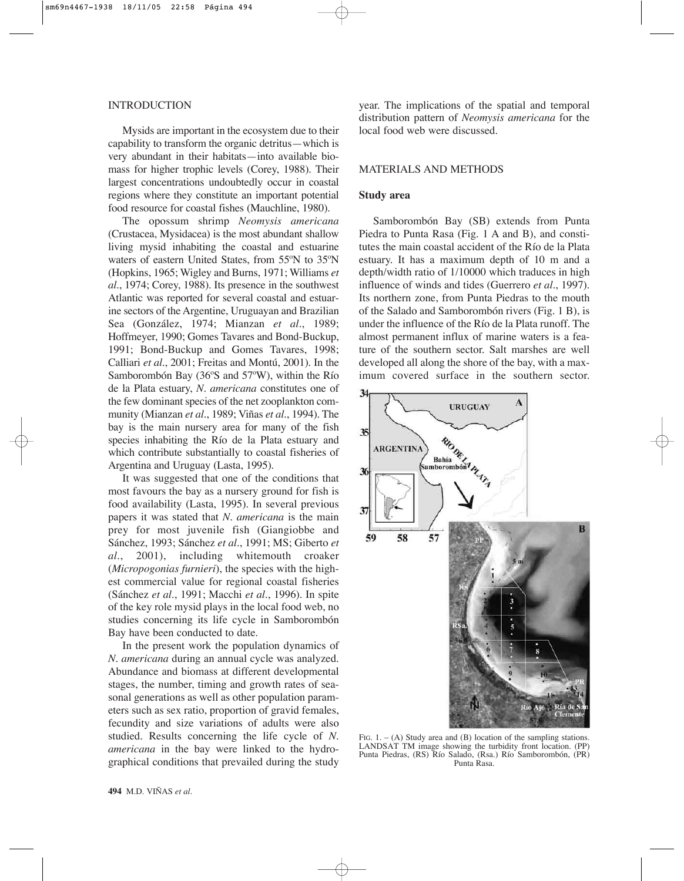#### INTRODUCTION

Mysids are important in the ecosystem due to their capability to transform the organic detritus—which is very abundant in their habitats—into available biomass for higher trophic levels (Corey, 1988). Their largest concentrations undoubtedly occur in coastal regions where they constitute an important potential food resource for coastal fishes (Mauchline, 1980).

The opossum shrimp *Neomysis americana* (Crustacea, Mysidacea) is the most abundant shallow living mysid inhabiting the coastal and estuarine waters of eastern United States, from 55ºN to 35ºN (Hopkins, 1965; Wigley and Burns, 1971; Williams *et al*., 1974; Corey, 1988). Its presence in the southwest Atlantic was reported for several coastal and estuarine sectors of the Argentine, Uruguayan and Brazilian Sea (González, 1974; Mianzan *et al*., 1989; Hoffmeyer, 1990; Gomes Tavares and Bond-Buckup, 1991; Bond-Buckup and Gomes Tavares, 1998; Calliari *et al*., 2001; Freitas and Montú, 2001). In the Samborombón Bay (36ºS and 57ºW), within the Río de la Plata estuary, *N. americana* constitutes one of the few dominant species of the net zooplankton community (Mianzan *et al*., 1989; Viñas *et al*., 1994). The bay is the main nursery area for many of the fish species inhabiting the Río de la Plata estuary and which contribute substantially to coastal fisheries of Argentina and Uruguay (Lasta, 1995).

It was suggested that one of the conditions that most favours the bay as a nursery ground for fish is food availability (Lasta, 1995). In several previous papers it was stated that *N. americana* is the main prey for most juvenile fish (Giangiobbe and Sánchez, 1993; Sánchez *et al*., 1991; MS; Giberto *et al*., 2001), including whitemouth croaker (*Micropogonias furnieri*), the species with the highest commercial value for regional coastal fisheries (Sánchez *et al*., 1991; Macchi *et al*., 1996). In spite of the key role mysid plays in the local food web, no studies concerning its life cycle in Samborombón Bay have been conducted to date.

In the present work the population dynamics of *N. americana* during an annual cycle was analyzed. Abundance and biomass at different developmental stages, the number, timing and growth rates of seasonal generations as well as other population parameters such as sex ratio, proportion of gravid females, fecundity and size variations of adults were also studied. Results concerning the life cycle of *N. americana* in the bay were linked to the hydrographical conditions that prevailed during the study

year. The implications of the spatial and temporal distribution pattern of *Neomysis americana* for the local food web were discussed.

## MATERIALS AND METHODS

## **Study area**

Samborombón Bay (SB) extends from Punta Piedra to Punta Rasa (Fig. 1 A and B), and constitutes the main coastal accident of the Río de la Plata estuary. It has a maximum depth of 10 m and a depth/width ratio of 1/10000 which traduces in high influence of winds and tides (Guerrero *et al*., 1997). Its northern zone, from Punta Piedras to the mouth of the Salado and Samborombón rivers (Fig. 1 B), is under the influence of the Río de la Plata runoff. The almost permanent influx of marine waters is a feature of the southern sector. Salt marshes are well developed all along the shore of the bay, with a maximum covered surface in the southern sector.



FIG. 1. – (A) Study area and (B) location of the sampling stations. LANDSAT TM image showing the turbidity front location. (PP) Punta Piedras, (RS) Río Salado, (Rsa.) Río Samborombón, (PR) Punta Rasa.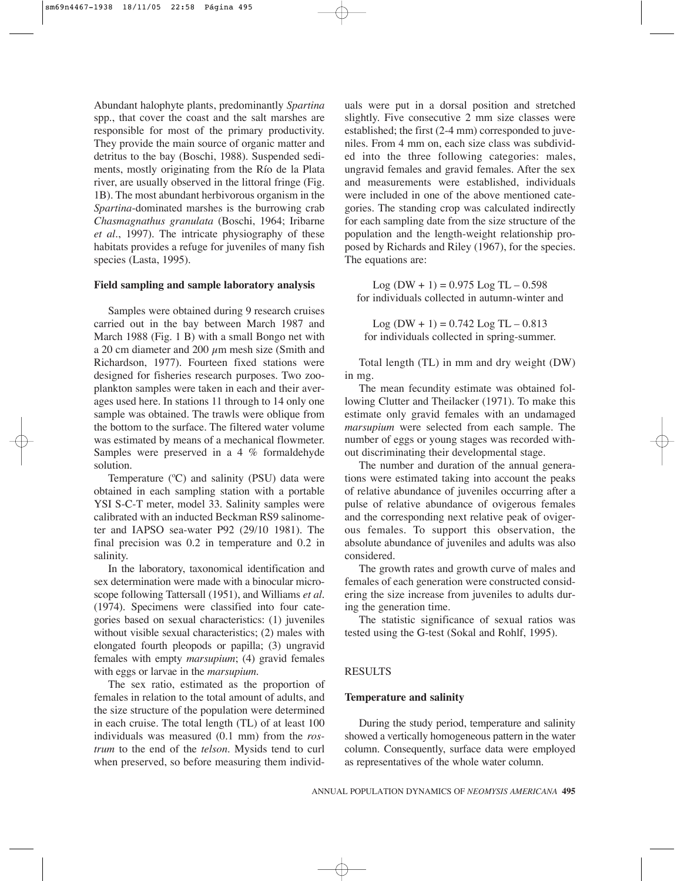Abundant halophyte plants, predominantly *Spartina* spp., that cover the coast and the salt marshes are responsible for most of the primary productivity. They provide the main source of organic matter and detritus to the bay (Boschi, 1988). Suspended sediments, mostly originating from the Río de la Plata river, are usually observed in the littoral fringe (Fig. 1B). The most abundant herbivorous organism in the *Spartina*-dominated marshes is the burrowing crab *Chasmagnathus granulata* (Boschi, 1964; Iribarne *et al*., 1997). The intricate physiography of these habitats provides a refuge for juveniles of many fish species (Lasta, 1995).

#### **Field sampling and sample laboratory analysis**

Samples were obtained during 9 research cruises carried out in the bay between March 1987 and March 1988 (Fig. 1 B) with a small Bongo net with a 20 cm diameter and 200  $\mu$ m mesh size (Smith and Richardson, 1977). Fourteen fixed stations were designed for fisheries research purposes. Two zooplankton samples were taken in each and their averages used here. In stations 11 through to 14 only one sample was obtained. The trawls were oblique from the bottom to the surface. The filtered water volume was estimated by means of a mechanical flowmeter. Samples were preserved in a 4 % formaldehyde solution.

Temperature (ºC) and salinity (PSU) data were obtained in each sampling station with a portable YSI S-C-T meter, model 33. Salinity samples were calibrated with an inducted Beckman RS9 salinometer and IAPSO sea-water P92 (29/10 1981). The final precision was 0.2 in temperature and 0.2 in salinity.

In the laboratory, taxonomical identification and sex determination were made with a binocular microscope following Tattersall (1951), and Williams *et al.* (1974). Specimens were classified into four categories based on sexual characteristics: (1) juveniles without visible sexual characteristics; (2) males with elongated fourth pleopods or papilla; (3) ungravid females with empty *marsupium*; (4) gravid females with eggs or larvae in the *marsupium.*

The sex ratio, estimated as the proportion of females in relation to the total amount of adults, and the size structure of the population were determined in each cruise. The total length (TL) of at least 100 individuals was measured (0.1 mm) from the *rostrum* to the end of the *telson*. Mysids tend to curl when preserved, so before measuring them individuals were put in a dorsal position and stretched slightly. Five consecutive 2 mm size classes were established; the first (2-4 mm) corresponded to juveniles. From 4 mm on, each size class was subdivided into the three following categories: males, ungravid females and gravid females. After the sex and measurements were established, individuals were included in one of the above mentioned categories. The standing crop was calculated indirectly for each sampling date from the size structure of the population and the length-weight relationship proposed by Richards and Riley (1967), for the species. The equations are:

Log  $(DW + 1) = 0.975$  Log TL  $- 0.598$ for individuals collected in autumn-winter and

 $Log (DW + 1) = 0.742 Log TL - 0.813$ for individuals collected in spring-summer.

Total length (TL) in mm and dry weight (DW) in mg.

The mean fecundity estimate was obtained following Clutter and Theilacker (1971). To make this estimate only gravid females with an undamaged *marsupium* were selected from each sample. The number of eggs or young stages was recorded without discriminating their developmental stage.

The number and duration of the annual generations were estimated taking into account the peaks of relative abundance of juveniles occurring after a pulse of relative abundance of ovigerous females and the corresponding next relative peak of ovigerous females. To support this observation, the absolute abundance of juveniles and adults was also considered.

The growth rates and growth curve of males and females of each generation were constructed considering the size increase from juveniles to adults during the generation time.

The statistic significance of sexual ratios was tested using the G-test (Sokal and Rohlf, 1995).

#### RESULTS

#### **Temperature and salinity**

During the study period, temperature and salinity showed a vertically homogeneous pattern in the water column. Consequently, surface data were employed as representatives of the whole water column.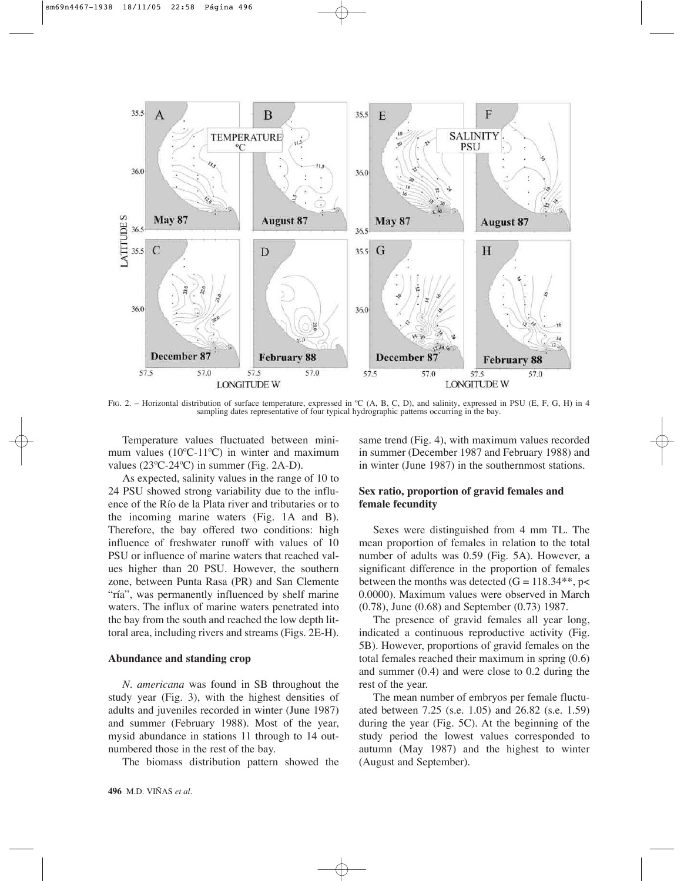

FIG. 2. – Horizontal distribution of surface temperature, expressed in °C (A, B, C, D), and salinity, expressed in PSU (E, F, G, H) in 4 sampling dates representative of four typical hydrographic patterns occurring in the bay.

Temperature values fluctuated between minimum values (10ºC-11ºC) in winter and maximum values (23ºC-24ºC) in summer (Fig. 2A-D).

As expected, salinity values in the range of 10 to 24 PSU showed strong variability due to the influence of the Río de la Plata river and tributaries or to the incoming marine waters (Fig. 1A and B). Therefore, the bay offered two conditions: high influence of freshwater runoff with values of 10 PSU or influence of marine waters that reached values higher than 20 PSU. However, the southern zone, between Punta Rasa (PR) and San Clemente "ría", was permanently influenced by shelf marine waters. The influx of marine waters penetrated into the bay from the south and reached the low depth littoral area, including rivers and streams (Figs. 2E-H).

#### **Abundance and standing crop**

*N. americana* was found in SB throughout the study year (Fig. 3), with the highest densities of adults and juveniles recorded in winter (June 1987) and summer (February 1988). Most of the year, mysid abundance in stations 11 through to 14 outnumbered those in the rest of the bay.

The biomass distribution pattern showed the

same trend (Fig. 4), with maximum values recorded in summer (December 1987 and February 1988) and in winter (June 1987) in the southernmost stations.

# **Sex ratio, proportion of gravid females and female fecundity**

Sexes were distinguished from 4 mm TL. The mean proportion of females in relation to the total number of adults was 0.59 (Fig. 5A). However, a significant difference in the proportion of females between the months was detected  $(G = 118.34**, p<$ 0.0000). Maximum values were observed in March (0.78), June (0.68) and September (0.73) 1987.

The presence of gravid females all year long, indicated a continuous reproductive activity (Fig. 5B). However, proportions of gravid females on the total females reached their maximum in spring (0.6) and summer (0.4) and were close to 0.2 during the rest of the year.

The mean number of embryos per female fluctuated between 7.25 (s.e. 1.05) and 26.82 (s.e. 1.59) during the year (Fig. 5C). At the beginning of the study period the lowest values corresponded to autumn (May 1987) and the highest to winter (August and September).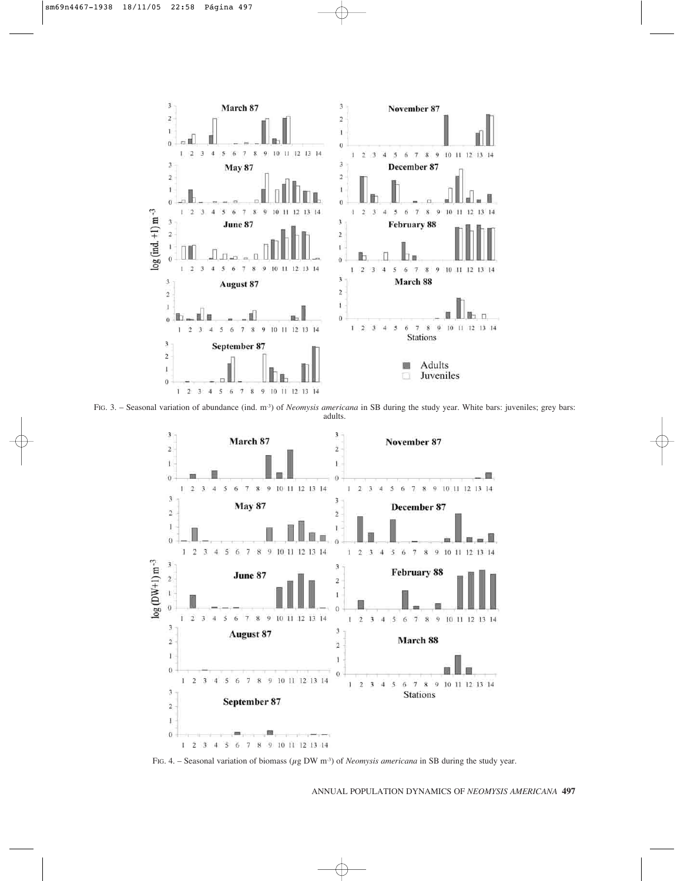

FIG. 3. – Seasonal variation of abundance (ind. m-3) of *Neomysis americana* in SB during the study year. White bars: juveniles; grey bars: adults.



FIG. 4. – Seasonal variation of biomass (µg DW m-3) of *Neomysis americana* in SB during the study year.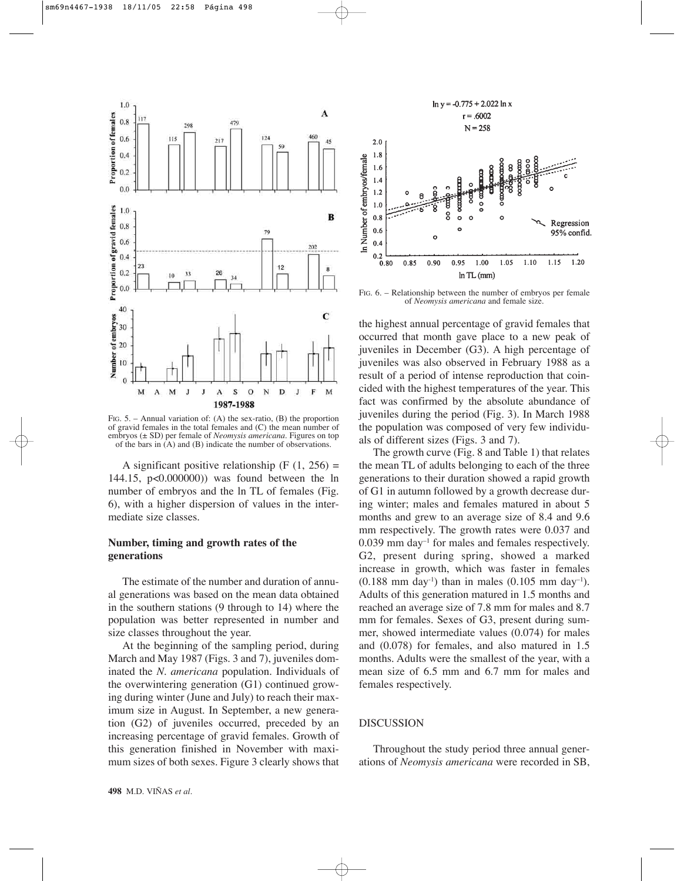

FIG. 5. – Annual variation of: (A) the sex-ratio, (B) the proportion of gravid females in the total females and (C) the mean number of embryos (± SD) per female of *Neomysis americana*. Figures on top of the bars in (A) and (B) indicate the number of observations.

A significant positive relationship  $(F (1, 256) =$ 144.15, p<0.000000)) was found between the ln number of embryos and the ln TL of females (Fig. 6), with a higher dispersion of values in the intermediate size classes.

## **Number, timing and growth rates of the generations**

The estimate of the number and duration of annual generations was based on the mean data obtained in the southern stations (9 through to 14) where the population was better represented in number and size classes throughout the year.

At the beginning of the sampling period, during March and May 1987 (Figs. 3 and 7), juveniles dominated the *N. americana* population. Individuals of the overwintering generation (G1) continued growing during winter (June and July) to reach their maximum size in August. In September, a new generation (G2) of juveniles occurred, preceded by an increasing percentage of gravid females. Growth of this generation finished in November with maximum sizes of both sexes. Figure 3 clearly shows that



FIG. 6. – Relationship between the number of embryos per female of *Neomysis americana* and female size.

the highest annual percentage of gravid females that occurred that month gave place to a new peak of juveniles in December (G3). A high percentage of juveniles was also observed in February 1988 as a result of a period of intense reproduction that coincided with the highest temperatures of the year. This fact was confirmed by the absolute abundance of juveniles during the period (Fig. 3). In March 1988 the population was composed of very few individuals of different sizes (Figs. 3 and 7).

The growth curve (Fig. 8 and Table 1) that relates the mean TL of adults belonging to each of the three generations to their duration showed a rapid growth of G1 in autumn followed by a growth decrease during winter; males and females matured in about 5 months and grew to an average size of 8.4 and 9.6 mm respectively. The growth rates were 0.037 and  $0.039$  mm day<sup>-1</sup> for males and females respectively. G2, present during spring, showed a marked increase in growth, which was faster in females  $(0.188 \text{ mm day}^{-1})$  than in males  $(0.105 \text{ mm day}^{-1})$ . Adults of this generation matured in 1.5 months and reached an average size of 7.8 mm for males and 8.7 mm for females. Sexes of G3, present during summer, showed intermediate values (0.074) for males and (0.078) for females, and also matured in 1.5 months. Adults were the smallest of the year, with a mean size of 6.5 mm and 6.7 mm for males and females respectively.

#### DISCUSSION

Throughout the study period three annual generations of *Neomysis americana* were recorded in SB,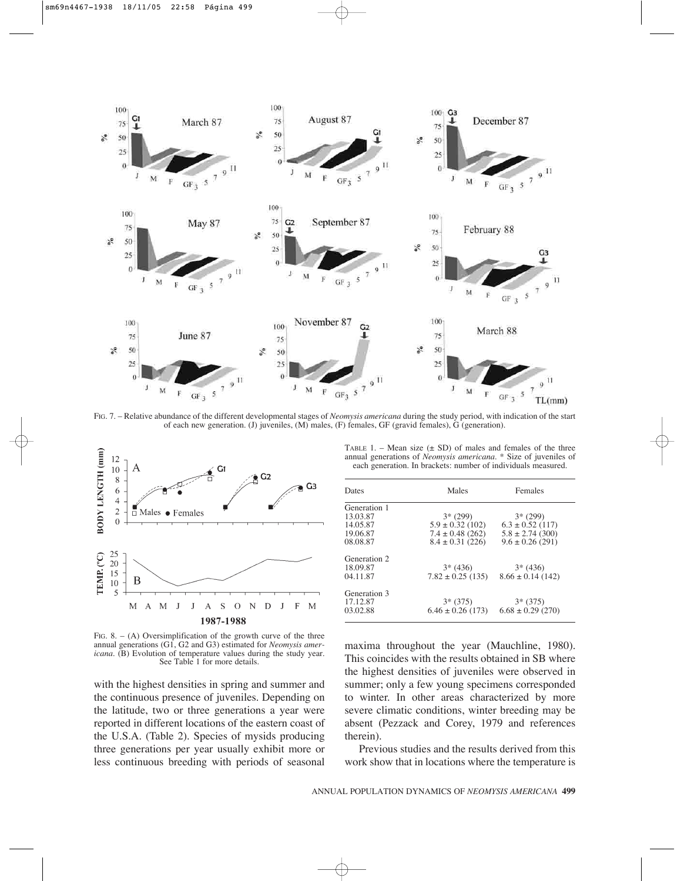

FIG. 7. – Relative abundance of the different developmental stages of *Neomysis americana* during the study period, with indication of the start of each new generation. (J) juveniles, (M) males, (F) females, GF (gravid females), G (generation).



FIG. 8.  $-$  (A) Oversimplification of the growth curve of the three annual generations (G1, G2 and G3) estimated for *Neomysis americana.* (B) Evolution of temperature values during the study year. See Table 1 for more details.

with the highest densities in spring and summer and the continuous presence of juveniles. Depending on the latitude, two or three generations a year were reported in different locations of the eastern coast of the U.S.A. (Table 2). Species of mysids producing three generations per year usually exhibit more or less continuous breeding with periods of seasonal

TABLE 1. – Mean size  $(\pm SD)$  of males and females of the three annual generations of *Neomysis americana*. \* Size of juveniles of each generation. In brackets: number of individuals measured.

| Dates                                                        | Males                                                                             | Females                                                                           |  |  |
|--------------------------------------------------------------|-----------------------------------------------------------------------------------|-----------------------------------------------------------------------------------|--|--|
| Generation 1<br>13.03.87<br>14.05.87<br>19.06.87<br>08.08.87 | $3*(299)$<br>$5.9 \pm 0.32$ (102)<br>$7.4 \pm 0.48$ (262)<br>$8.4 \pm 0.31$ (226) | $3*(299)$<br>$6.3 \pm 0.52$ (117)<br>$5.8 \pm 2.74$ (300)<br>$9.6 \pm 0.26$ (291) |  |  |
| Generation 2<br>18.09.87<br>04.11.87                         | $3*(436)$<br>$7.82 \pm 0.25$ (135)                                                | $3*(436)$<br>$8.66 \pm 0.14(142)$                                                 |  |  |
| Generation 3<br>17.12.87<br>03.02.88                         | $3*(375)$<br>$6.46 \pm 0.26$ (173)                                                | $3*(375)$<br>$6.68 \pm 0.29$ (270)                                                |  |  |

maxima throughout the year (Mauchline, 1980). This coincides with the results obtained in SB where the highest densities of juveniles were observed in summer; only a few young specimens corresponded to winter. In other areas characterized by more severe climatic conditions, winter breeding may be absent (Pezzack and Corey, 1979 and references therein).

Previous studies and the results derived from this work show that in locations where the temperature is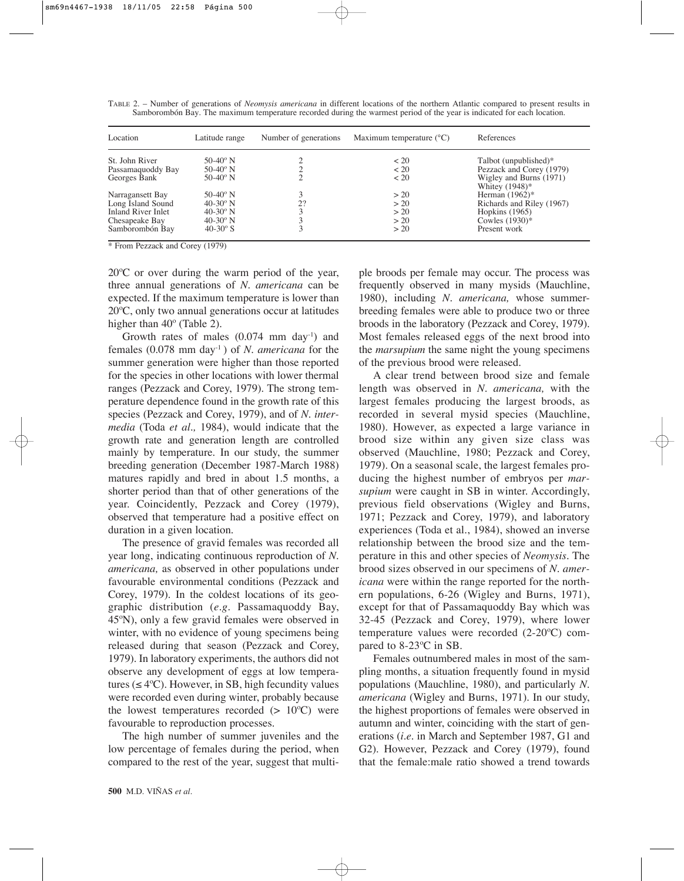|  |  | TABLE 2. - Number of generations of <i>Neomysis americana</i> in different locations of the northern Atlantic compared to present results in |  |  |  |  |
|--|--|----------------------------------------------------------------------------------------------------------------------------------------------|--|--|--|--|
|  |  | Samborombón Bay. The maximum temperature recorded during the warmest period of the year is indicated for each location.                      |  |  |  |  |

| Location           | Number of generations<br>Latitude range |    | Maximum temperature $(^{\circ}C)$ | References                                   |
|--------------------|-----------------------------------------|----|-----------------------------------|----------------------------------------------|
| St. John River     | 50-40 $^{\circ}$ N                      |    | $~<$ 20                           | Talbot (unpublished)*                        |
| Passamaquoddy Bay  | $50-40$ ° N                             |    | ~120                              | Pezzack and Corey (1979)                     |
| Georges Bank       | $50-40$ ° N                             |    | < 20                              | Wigley and Burns (1971)<br>Whitey $(1948)$ * |
| Narragansett Bay   | 50-40 $^{\circ}$ N                      |    | > 20                              | Herman $(1962)$ *                            |
| Long Island Sound  | $40-30$ ° N                             | 2? | > 20                              | Richards and Riley (1967)                    |
| Inland River Inlet | $40-30^\circ$ N                         |    | > 20                              | Hopkins $(1965)$                             |
| Chesapeake Bay     | $40-30^\circ$ N                         |    | > 20                              | Cowles $(1930)$ *                            |
| Samborombón Bay    | $40-30^\circ$ S                         |    | > 20                              | Present work                                 |

\* From Pezzack and Corey (1979)

20ºC or over during the warm period of the year, three annual generations of *N. americana* can be expected. If the maximum temperature is lower than 20ºC, only two annual generations occur at latitudes higher than 40<sup>°</sup> (Table 2).

Growth rates of males  $(0.074 \text{ mm day}^{-1})$  and females (0.078 mm day-1 ) of *N. americana* for the summer generation were higher than those reported for the species in other locations with lower thermal ranges (Pezzack and Corey, 1979). The strong temperature dependence found in the growth rate of this species (Pezzack and Corey, 1979), and of *N. intermedia* (Toda *et al.,* 1984), would indicate that the growth rate and generation length are controlled mainly by temperature. In our study, the summer breeding generation (December 1987-March 1988) matures rapidly and bred in about 1.5 months, a shorter period than that of other generations of the year. Coincidently, Pezzack and Corey (1979), observed that temperature had a positive effect on duration in a given location.

The presence of gravid females was recorded all year long, indicating continuous reproduction of *N. americana,* as observed in other populations under favourable environmental conditions (Pezzack and Corey, 1979). In the coldest locations of its geographic distribution (*e.g.* Passamaquoddy Bay, 45ºN), only a few gravid females were observed in winter, with no evidence of young specimens being released during that season (Pezzack and Corey, 1979). In laboratory experiments, the authors did not observe any development of eggs at low temperatures ( $\leq 4$ °C). However, in SB, high fecundity values were recorded even during winter, probably because the lowest temperatures recorded  $(> 10^{\circ}C)$  were favourable to reproduction processes.

The high number of summer juveniles and the low percentage of females during the period, when compared to the rest of the year, suggest that multi-

**500** M.D. VIÑAS *et al.*

ple broods per female may occur. The process was frequently observed in many mysids (Mauchline, 1980), including *N. americana,* whose summerbreeding females were able to produce two or three broods in the laboratory (Pezzack and Corey, 1979). Most females released eggs of the next brood into the *marsupium* the same night the young specimens of the previous brood were released.

A clear trend between brood size and female length was observed in *N. americana,* with the largest females producing the largest broods, as recorded in several mysid species (Mauchline, 1980). However, as expected a large variance in brood size within any given size class was observed (Mauchline, 1980; Pezzack and Corey, 1979). On a seasonal scale, the largest females producing the highest number of embryos per *marsupium* were caught in SB in winter. Accordingly, previous field observations (Wigley and Burns, 1971; Pezzack and Corey, 1979), and laboratory experiences (Toda et al., 1984), showed an inverse relationship between the brood size and the temperature in this and other species of *Neomysis.* The brood sizes observed in our specimens of *N. americana* were within the range reported for the northern populations, 6-26 (Wigley and Burns, 1971), except for that of Passamaquoddy Bay which was 32-45 (Pezzack and Corey, 1979), where lower temperature values were recorded (2-20ºC) compared to 8-23ºC in SB.

Females outnumbered males in most of the sampling months, a situation frequently found in mysid populations (Mauchline, 1980), and particularly *N. americana* (Wigley and Burns, 1971). In our study, the highest proportions of females were observed in autumn and winter, coinciding with the start of generations (*i.e*. in March and September 1987, G1 and G2). However, Pezzack and Corey (1979), found that the female:male ratio showed a trend towards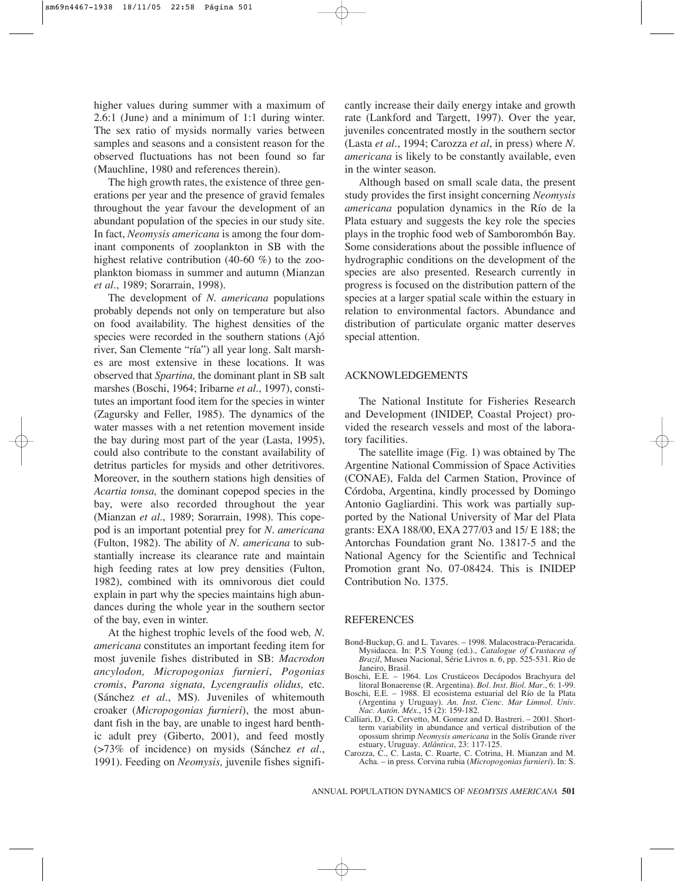higher values during summer with a maximum of 2.6:1 (June) and a minimum of 1:1 during winter. The sex ratio of mysids normally varies between samples and seasons and a consistent reason for the observed fluctuations has not been found so far (Mauchline, 1980 and references therein).

The high growth rates, the existence of three generations per year and the presence of gravid females throughout the year favour the development of an abundant population of the species in our study site. In fact, *Neomysis americana* is among the four dominant components of zooplankton in SB with the highest relative contribution (40-60 %) to the zooplankton biomass in summer and autumn (Mianzan *et al*., 1989; Sorarrain, 1998).

The development of *N. americana* populations probably depends not only on temperature but also on food availability. The highest densities of the species were recorded in the southern stations (Ajó river, San Clemente "ría") all year long. Salt marshes are most extensive in these locations. It was observed that *Spartina,* the dominant plant in SB salt marshes (Boschi, 1964; Iribarne *et al*., 1997), constitutes an important food item for the species in winter (Zagursky and Feller, 1985). The dynamics of the water masses with a net retention movement inside the bay during most part of the year (Lasta, 1995), could also contribute to the constant availability of detritus particles for mysids and other detritivores. Moreover, in the southern stations high densities of *Acartia tonsa,* the dominant copepod species in the bay, were also recorded throughout the year (Mianzan *et al*., 1989; Sorarrain, 1998). This copepod is an important potential prey for *N. americana* (Fulton, 1982). The ability of *N. americana* to substantially increase its clearance rate and maintain high feeding rates at low prey densities (Fulton, 1982), combined with its omnivorous diet could explain in part why the species maintains high abundances during the whole year in the southern sector of the bay, even in winter.

At the highest trophic levels of the food web*, N. americana* constitutes an important feeding item for most juvenile fishes distributed in SB: *Macrodon ancylodon, Micropogonias furnieri*, *Pogonias cromis*, *Parona signata, Lycengraulis olidus,* etc. (Sánchez *et al*., MS). Juveniles of whitemouth croaker (*Micropogonias furnieri*), the most abundant fish in the bay, are unable to ingest hard benthic adult prey (Giberto, 2001), and feed mostly (>73% of incidence) on mysids (Sánchez *et al*., 1991). Feeding on *Neomysis,* juvenile fishes significantly increase their daily energy intake and growth rate (Lankford and Targett, 1997). Over the year, juveniles concentrated mostly in the southern sector (Lasta *et al*., 1994; Carozza *et al*, in press) where *N. americana* is likely to be constantly available, even in the winter season.

Although based on small scale data, the present study provides the first insight concerning *Neomysis americana* population dynamics in the Río de la Plata estuary and suggests the key role the species plays in the trophic food web of Samborombón Bay. Some considerations about the possible influence of hydrographic conditions on the development of the species are also presented. Research currently in progress is focused on the distribution pattern of the species at a larger spatial scale within the estuary in relation to environmental factors. Abundance and distribution of particulate organic matter deserves special attention.

#### ACKNOWLEDGEMENTS

The National Institute for Fisheries Research and Development (INIDEP, Coastal Project) provided the research vessels and most of the laboratory facilities.

The satellite image (Fig. 1) was obtained by The Argentine National Commission of Space Activities (CONAE), Falda del Carmen Station, Province of Córdoba, Argentina, kindly processed by Domingo Antonio Gagliardini. This work was partially supported by the National University of Mar del Plata grants: EXA 188/00, EXA 277/03 and 15/ E 188; the Antorchas Foundation grant No. 13817-5 and the National Agency for the Scientific and Technical Promotion grant No. 07-08424. This is INIDEP Contribution No. 1375.

#### REFERENCES

- Bond-Buckup, G. and L. Tavares. 1998. Malacostraca-Peracarida. Mysidacea. In: P.S Young (ed.)., *Catalogue of Crustacea of Brazil*, Museu Nacional, Série Livros n. 6, pp. 525-531. Rio de Janeiro, Brasil.
- Boschi, E.E. 1964. Los Crustáceos Decápodos Brachyura del litoral Bonaerense (R. Argentina). *Bol. Inst. Biol. Mar*., 6: 1-99.
- Boschi, E.E. 1988. El ecosistema estuarial del Río de la Plata (Argentina y Uruguay). *An. Inst. Cienc*. *Mar Limnol. Univ. Nac. Autón. Méx*., 15 (2): 159-182.
- Calliari, D., G. Cervetto, M. Gomez and D. Bastreri. 2001. Shortterm variability in abundance and vertical distribution of the opossum shrimp *Neomysis americana* in the Solís Grande river estuary, Uruguay. *Atlântica*, 23: 117-125.
- Carozza, C., C. Lasta, C. Ruarte, C. Cotrina, H. Mianzan and M. Acha. – in press. Corvina rubia (*Micropogonias furnieri*). In: S.